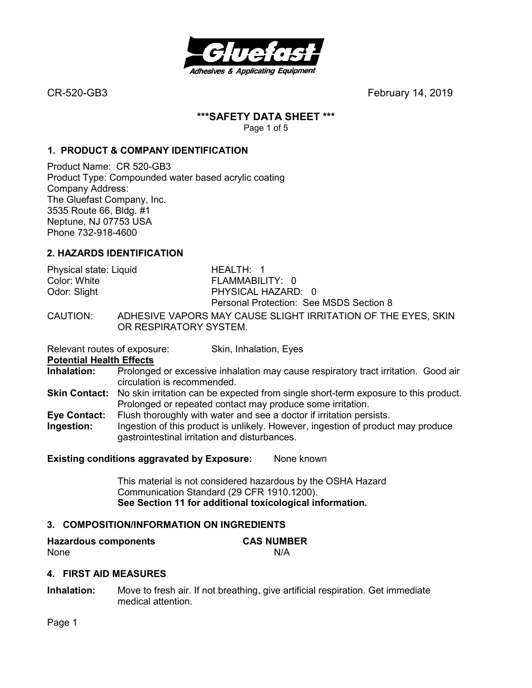

# **\*\*\*SAFETY DATA SHEET \*\*\***

Page 1 of 5

# **1. PRODUCT & COMPANY IDENTIFICATION**

Product Name: CR 520-GB3 Product Type: Compounded water based acrylic coating Company Address: The Gluefast Company, Inc. 3535 Route 66, Bldg. #1 Neptune, NJ 07753 USA Phone 732-918-4600

# **2. HAZARDS IDENTIFICATION**

Physical state: Liquid HEALTH: 1 Color: White **FLAMMABILITY: 0** Odor: Slight **PHYSICAL HAZARD: 0** Personal Protection: See MSDS Section 8

CAUTION: ADHESIVE VAPORS MAY CAUSE SLIGHT IRRITATION OF THE EYES, SKIN OR RESPIRATORY SYSTEM.

Relevant routes of exposure: Skin, Inhalation, Eyes

**Potential Health Effects** 

**Inhalation:** Prolonged or excessive inhalation may cause respiratory tract irritation. Good air circulation is recommended.

- **Skin Contact:** No skin irritation can be expected from single short-term exposure to this product. Prolonged or repeated contact may produce some irritation.
- **Eye Contact:** Flush thoroughly with water and see a doctor if irritation persists. **Ingestion:** Ingestion of this product is unlikely. However, ingestion of product may produce
- gastrointestinal irritation and disturbances.

### **Existing conditions aggravated by Exposure:** None known

This material is not considered hazardous by the OSHA Hazard Communication Standard (29 CFR 1910.1200). **See Section 11 for additional toxicological information.** 

# **3. COMPOSITION/INFORMATION ON INGREDIENTS**

**Hazardous components CAS NUMBER**  None N/A

# **4. FIRST AID MEASURES**

**Inhalation:** Move to fresh air. If not breathing, give artificial respiration. Get immediate medical attention.

Page 1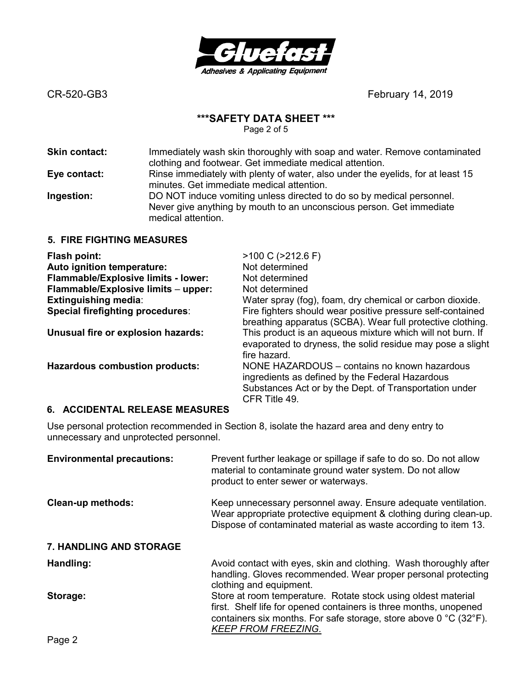

## **\*\*\*SAFETY DATA SHEET \*\*\***

Page 2 of 5

| Skin contact: | Immediately wash skin thoroughly with soap and water. Remove contaminated<br>clothing and footwear. Get immediate medical attention.                                |
|---------------|---------------------------------------------------------------------------------------------------------------------------------------------------------------------|
| Eye contact:  | Rinse immediately with plenty of water, also under the eyelids, for at least 15<br>minutes. Get immediate medical attention.                                        |
| Ingestion:    | DO NOT induce vomiting unless directed to do so by medical personnel.<br>Never give anything by mouth to an unconscious person. Get immediate<br>medical attention. |
|               | IAI ITINIA NJE 1 ALIBEA                                                                                                                                             |

## **5. FIRE FIGHTING MEASURES**

| Flash point:                          | $>100$ C ( $>212.6$ F)                                                                                                                                                     |
|---------------------------------------|----------------------------------------------------------------------------------------------------------------------------------------------------------------------------|
| Auto ignition temperature:            | Not determined                                                                                                                                                             |
| Flammable/Explosive limits - lower:   | Not determined                                                                                                                                                             |
| Flammable/Explosive limits - upper:   | Not determined                                                                                                                                                             |
| <b>Extinguishing media:</b>           | Water spray (fog), foam, dry chemical or carbon dioxide.                                                                                                                   |
| Special firefighting procedures:      | Fire fighters should wear positive pressure self-contained<br>breathing apparatus (SCBA). Wear full protective clothing.                                                   |
| Unusual fire or explosion hazards:    | This product is an aqueous mixture which will not burn. If<br>evaporated to dryness, the solid residue may pose a slight<br>fire hazard.                                   |
| <b>Hazardous combustion products:</b> | NONE HAZARDOUS – contains no known hazardous<br>ingredients as defined by the Federal Hazardous<br>Substances Act or by the Dept. of Transportation under<br>CFR Title 49. |

### **6. ACCIDENTAL RELEASE MEASURES**

Use personal protection recommended in Section 8, isolate the hazard area and deny entry to unnecessary and unprotected personnel.

| <b>Environmental precautions:</b> | Prevent further leakage or spillage if safe to do so. Do not allow<br>material to contaminate ground water system. Do not allow<br>product to enter sewer or waterways.                                                                                   |
|-----------------------------------|-----------------------------------------------------------------------------------------------------------------------------------------------------------------------------------------------------------------------------------------------------------|
| <b>Clean-up methods:</b>          | Keep unnecessary personnel away. Ensure adequate ventilation.<br>Wear appropriate protective equipment & clothing during clean-up.<br>Dispose of contaminated material as waste according to item 13.                                                     |
| <b>7. HANDLING AND STORAGE</b>    |                                                                                                                                                                                                                                                           |
| Handling:                         | Avoid contact with eyes, skin and clothing. Wash thoroughly after<br>handling. Gloves recommended. Wear proper personal protecting<br>clothing and equipment.                                                                                             |
| Storage:                          | Store at room temperature. Rotate stock using oldest material<br>first. Shelf life for opened containers is three months, unopened<br>containers six months. For safe storage, store above $0^{\circ}$ C (32 $^{\circ}$ F).<br><b>KEEP FROM FREEZING.</b> |
| <b>P.L.A</b>                      |                                                                                                                                                                                                                                                           |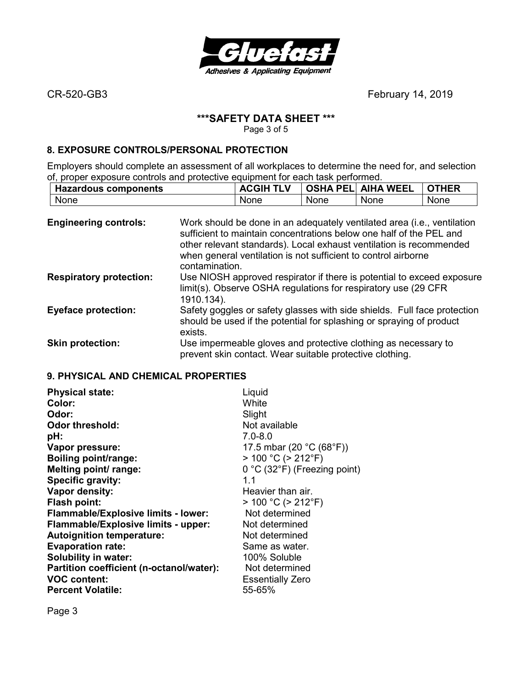

## **\*\*\*SAFETY DATA SHEET \*\*\***

Page 3 of 5

### **8. EXPOSURE CONTROLS/PERSONAL PROTECTION**

Employers should complete an assessment of all workplaces to determine the need for, and selection of, proper exposure controls and protective equipment for each task performed.

| <b>Hazardous components</b> | <b>ACGIH</b><br>TI V | <b>OSHA</b><br>PELI | <b>AIHA WEEL</b> | <b>THER</b> |
|-----------------------------|----------------------|---------------------|------------------|-------------|
| None                        | None                 | <b>None</b>         | <b>None</b>      | None        |

| <b>Engineering controls:</b>   | Work should be done in an adequately ventilated area (i.e., ventilation<br>sufficient to maintain concentrations below one half of the PEL and<br>other relevant standards). Local exhaust ventilation is recommended<br>when general ventilation is not sufficient to control airborne<br>contamination. |
|--------------------------------|-----------------------------------------------------------------------------------------------------------------------------------------------------------------------------------------------------------------------------------------------------------------------------------------------------------|
| <b>Respiratory protection:</b> | Use NIOSH approved respirator if there is potential to exceed exposure<br>limit(s). Observe OSHA regulations for respiratory use (29 CFR)<br>1910.134).                                                                                                                                                   |
| <b>Eyeface protection:</b>     | Safety goggles or safety glasses with side shields. Full face protection<br>should be used if the potential for splashing or spraying of product<br>exists.                                                                                                                                               |
| <b>Skin protection:</b>        | Use impermeable gloves and protective clothing as necessary to<br>prevent skin contact. Wear suitable protective clothing.                                                                                                                                                                                |

# **9. PHYSICAL AND CHEMICAL PROPERTIES**

| <b>Physical state:</b>                     | Liquid                                           |
|--------------------------------------------|--------------------------------------------------|
| Color:                                     | White                                            |
| Odor:                                      | Slight                                           |
| <b>Odor threshold:</b>                     | Not available                                    |
| pH:                                        | $7.0 - 8.0$                                      |
| Vapor pressure:                            | 17.5 mbar (20 $^{\circ}$ C (68 $^{\circ}$ F))    |
| <b>Boiling point/range:</b>                | $> 100 °C$ ( $> 212 °F$ )                        |
| Melting point/ range:                      | $0^{\circ}$ C (32 $^{\circ}$ F) (Freezing point) |
| Specific gravity:                          | 1.1                                              |
| Vapor density:                             | Heavier than air.                                |
| <b>Flash point:</b>                        | $> 100 °C$ ( $> 212 °F$ )                        |
| <b>Flammable/Explosive limits - lower:</b> | Not determined                                   |
| Flammable/Explosive limits - upper:        | Not determined                                   |
| <b>Autoignition temperature:</b>           | Not determined                                   |
| <b>Evaporation rate:</b>                   | Same as water.                                   |
| Solubility in water:                       | 100% Soluble                                     |
| Partition coefficient (n-octanol/water):   | Not determined                                   |
| <b>VOC content:</b>                        | <b>Essentially Zero</b>                          |
| <b>Percent Volatile:</b>                   | 55-65%                                           |

Page 3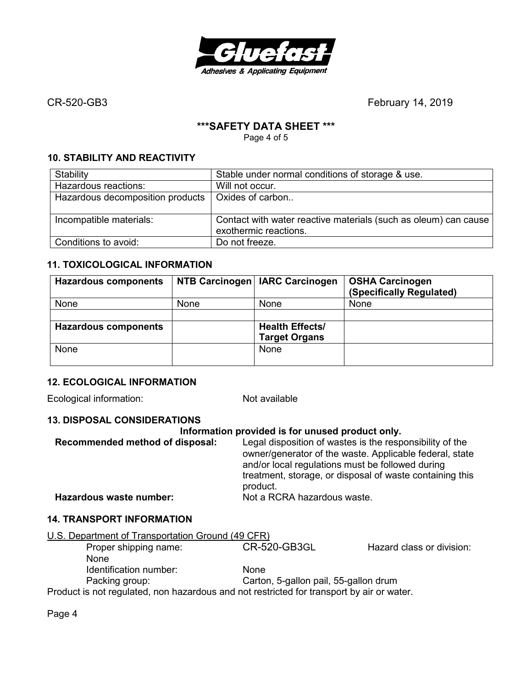

## **\*\*\*SAFETY DATA SHEET \*\*\***

Page 4 of 5

# **10. STABILITY AND REACTIVITY**

| Stability                        | Stable under normal conditions of storage & use.                                         |
|----------------------------------|------------------------------------------------------------------------------------------|
| Hazardous reactions:             | Will not occur.                                                                          |
| Hazardous decomposition products | Oxides of carbon                                                                         |
|                                  |                                                                                          |
| Incompatible materials:          | Contact with water reactive materials (such as oleum) can cause<br>exothermic reactions. |
| Conditions to avoid:             | Do not freeze.                                                                           |

# **11. TOXICOLOGICAL INFORMATION**

| <b>Hazardous components</b> |      | NTB Carcinogen   IARC Carcinogen | <b>OSHA Carcinogen</b><br>(Specifically Regulated) |
|-----------------------------|------|----------------------------------|----------------------------------------------------|
| None                        | None | None                             | None                                               |
|                             |      |                                  |                                                    |
| <b>Hazardous components</b> |      | <b>Health Effects/</b>           |                                                    |
|                             |      | <b>Target Organs</b>             |                                                    |
| None                        |      | None                             |                                                    |
|                             |      |                                  |                                                    |

# **12. ECOLOGICAL INFORMATION**

Ecological information: Not available

### **13. DISPOSAL CONSIDERATIONS**

### **Information provided is for unused product only.**

| Recommended method of disposal: | Legal disposition of wastes is the responsibility of the<br>owner/generator of the waste. Applicable federal, state<br>and/or local regulations must be followed during |  |
|---------------------------------|-------------------------------------------------------------------------------------------------------------------------------------------------------------------------|--|
|                                 | treatment, storage, or disposal of waste containing this<br>product.                                                                                                    |  |
| Hazardous waste number:         | Not a RCRA hazardous waste.                                                                                                                                             |  |

### **14. TRANSPORT INFORMATION**

| U.S. Department of Transportation Ground (49 CFR) |                                       |                           |
|---------------------------------------------------|---------------------------------------|---------------------------|
| Proper shipping name:                             | <b>CR-520-GB3GL</b>                   | Hazard class or division: |
| <b>None</b>                                       |                                       |                           |
| Identification number:                            | <b>None</b>                           |                           |
| Packing group:                                    | Carton, 5-gallon pail, 55-gallon drum |                           |

Product is not regulated, non hazardous and not restricted for transport by air or water.

Page 4